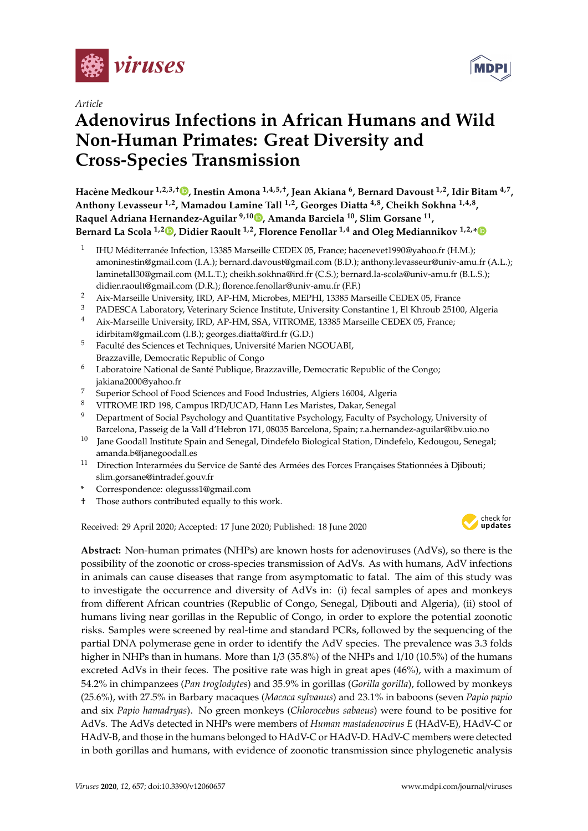

*Article*

# **Adenovirus Infections in African Humans and Wild Non-Human Primates: Great Diversity and Cross-Species Transmission**

**Hacène Medkour 1,2,3,**† **[,](https://orcid.org/0000-0002-5208-2576) Inestin Amona 1,4,5,**† **, Jean Akiana <sup>6</sup> , Bernard Davoust 1,2, Idir Bitam 4,7 , Anthony Levasseur 1,2, Mamadou Lamine Tall 1,2, Georges Diatta 4,8, Cheikh Sokhna 1,4,8 , Raquel Adriana Hernandez-Aguilar 9,10 [,](https://orcid.org/0000-0002-9539-8669) Amanda Barciela <sup>10</sup>, Slim Gorsane <sup>11</sup> , Bernard La Scola 1,2 [,](https://orcid.org/0000-0001-8006-7704) Didier Raoult 1,2, Florence Fenollar 1,4 and Oleg Mediannikov 1,2,[\\*](https://orcid.org/0000-0001-6039-2008)**

- 1 IHU Méditerranée Infection, 13385 Marseille CEDEX 05, France; hacenevet1990@yahoo.fr (H.M.); amoninestin@gmail.com (I.A.); bernard.davoust@gmail.com (B.D.); anthony.levasseur@univ-amu.fr (A.L.); laminetall30@gmail.com (M.L.T.); cheikh.sokhna@ird.fr (C.S.); bernard.la-scola@univ-amu.fr (B.L.S.); didier.raoult@gmail.com (D.R.); florence.fenollar@univ-amu.fr (F.F.)
- <sup>2</sup> Aix-Marseille University, IRD, AP-HM, Microbes, MEPHI, 13385 Marseille CEDEX 05, France<br><sup>3</sup> PADESCA Leberstow: Veterinary Science Institute, University Constanting 1, ELK brough 2510
- <sup>3</sup> PADESCA Laboratory, Veterinary Science Institute, University Constantine 1, El Khroub 25100, Algeria
- <sup>4</sup> Aix-Marseille University, IRD, AP-HM, SSA, VITROME, 13385 Marseille CEDEX 05, France; idirbitam@gmail.com (I.B.); georges.diatta@ird.fr (G.D.)
- <sup>5</sup> Faculté des Sciences et Techniques, Université Marien NGOUABI, Brazzaville, Democratic Republic of Congo
- <sup>6</sup> Laboratoire National de Santé Publique, Brazzaville, Democratic Republic of the Congo; jakiana2000@yahoo.fr
- <sup>7</sup> Superior School of Food Sciences and Food Industries, Algiers 16004, Algeria
- <sup>8</sup> VITROME IRD 198, Campus IRD/UCAD, Hann Les Maristes, Dakar, Senegal
- <sup>9</sup> Department of Social Psychology and Quantitative Psychology, Faculty of Psychology, University of Barcelona, Passeig de la Vall d'Hebron 171, 08035 Barcelona, Spain; r.a.hernandez-aguilar@ibv.uio.no
- <sup>10</sup> Jane Goodall Institute Spain and Senegal, Dindefelo Biological Station, Dindefelo, Kedougou, Senegal; amanda.b@janegoodall.es
- <sup>11</sup> Direction Interarmées du Service de Santé des Armées des Forces Françaises Stationnées à Djibouti; slim.gorsane@intradef.gouv.fr
- **\*** Correspondence: olegusss1@gmail.com
- † Those authors contributed equally to this work.

Received: 29 April 2020; Accepted: 17 June 2020; Published: 18 June 2020



**MDPI** 

**Abstract:** Non-human primates (NHPs) are known hosts for adenoviruses (AdVs), so there is the possibility of the zoonotic or cross-species transmission of AdVs. As with humans, AdV infections in animals can cause diseases that range from asymptomatic to fatal. The aim of this study was to investigate the occurrence and diversity of AdVs in: (i) fecal samples of apes and monkeys from different African countries (Republic of Congo, Senegal, Djibouti and Algeria), (ii) stool of humans living near gorillas in the Republic of Congo, in order to explore the potential zoonotic risks. Samples were screened by real-time and standard PCRs, followed by the sequencing of the partial DNA polymerase gene in order to identify the AdV species. The prevalence was 3.3 folds higher in NHPs than in humans. More than 1/3 (35.8%) of the NHPs and 1/10 (10.5%) of the humans excreted AdVs in their feces. The positive rate was high in great apes (46%), with a maximum of 54.2% in chimpanzees (*Pan troglodytes*) and 35.9% in gorillas (*Gorilla gorilla*), followed by monkeys (25.6%), with 27.5% in Barbary macaques (*Macaca sylvanus*) and 23.1% in baboons (seven *Papio papio* and six *Papio hamadryas*). No green monkeys (*Chlorocebus sabaeus*) were found to be positive for AdVs. The AdVs detected in NHPs were members of *Human mastadenovirus E* (HAdV-E), HAdV-C or HAdV-B, and those in the humans belonged to HAdV-C or HAdV-D. HAdV-C members were detected in both gorillas and humans, with evidence of zoonotic transmission since phylogenetic analysis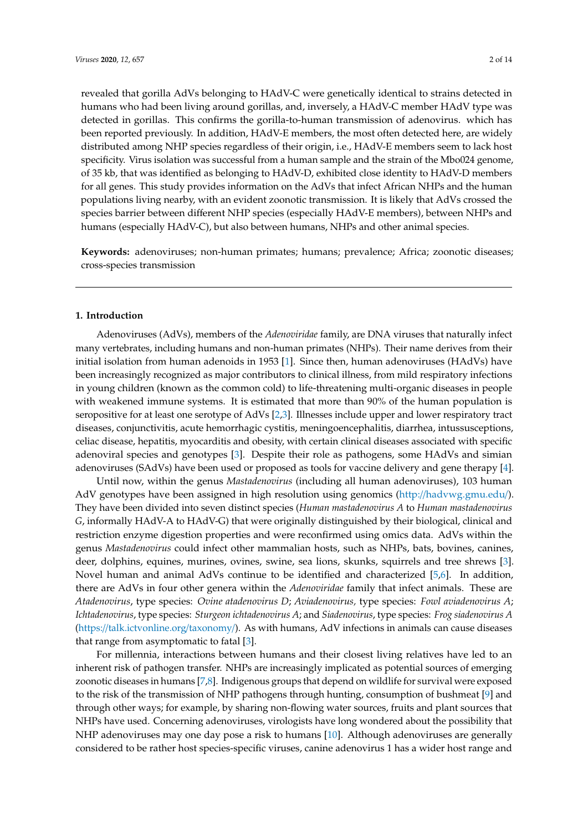revealed that gorilla AdVs belonging to HAdV-C were genetically identical to strains detected in humans who had been living around gorillas, and, inversely, a HAdV-C member HAdV type was detected in gorillas. This confirms the gorilla-to-human transmission of adenovirus. which has been reported previously. In addition, HAdV-E members, the most often detected here, are widely distributed among NHP species regardless of their origin, i.e., HAdV-E members seem to lack host specificity. Virus isolation was successful from a human sample and the strain of the Mbo024 genome, of 35 kb, that was identified as belonging to HAdV-D, exhibited close identity to HAdV-D members for all genes. This study provides information on the AdVs that infect African NHPs and the human populations living nearby, with an evident zoonotic transmission. It is likely that AdVs crossed the species barrier between different NHP species (especially HAdV-E members), between NHPs and humans (especially HAdV-C), but also between humans, NHPs and other animal species.

**Keywords:** adenoviruses; non-human primates; humans; prevalence; Africa; zoonotic diseases; cross-species transmission

## **1. Introduction**

Adenoviruses (AdVs), members of the *Adenoviridae* family, are DNA viruses that naturally infect many vertebrates, including humans and non-human primates (NHPs). Their name derives from their initial isolation from human adenoids in 1953 [\[1\]](#page-12-0). Since then, human adenoviruses (HAdVs) have been increasingly recognized as major contributors to clinical illness, from mild respiratory infections in young children (known as the common cold) to life-threatening multi-organic diseases in people with weakened immune systems. It is estimated that more than 90% of the human population is seropositive for at least one serotype of AdVs [\[2](#page-12-1)[,3\]](#page-12-2). Illnesses include upper and lower respiratory tract diseases, conjunctivitis, acute hemorrhagic cystitis, meningoencephalitis, diarrhea, intussusceptions, celiac disease, hepatitis, myocarditis and obesity, with certain clinical diseases associated with specific adenoviral species and genotypes [\[3\]](#page-12-2). Despite their role as pathogens, some HAdVs and simian adenoviruses (SAdVs) have been used or proposed as tools for vaccine delivery and gene therapy [\[4\]](#page-12-3).

Until now, within the genus *Mastadenovirus* (including all human adenoviruses), 103 human AdV genotypes have been assigned in high resolution using genomics (http://[hadvwg.gmu.edu](http://hadvwg.gmu.edu/)/). They have been divided into seven distinct species (*Human mastadenovirus A* to *Human mastadenovirus G*, informally HAdV-A to HAdV-G) that were originally distinguished by their biological, clinical and restriction enzyme digestion properties and were reconfirmed using omics data. AdVs within the genus *Mastadenovirus* could infect other mammalian hosts, such as NHPs, bats, bovines, canines, deer, dolphins, equines, murines, ovines, swine, sea lions, skunks, squirrels and tree shrews [\[3\]](#page-12-2). Novel human and animal AdVs continue to be identified and characterized [\[5](#page-12-4)[,6\]](#page-12-5). In addition, there are AdVs in four other genera within the *Adenoviridae* family that infect animals. These are *Atadenovirus*, type species: *Ovine atadenovirus D*; *Aviadenovirus,* type species: *Fowl aviadenovirus A*; *Ichtadenovirus*, type species: *Sturgeon ichtadenovirus A*; and *Siadenovirus*, type species: *Frog siadenovirus A* (https://[talk.ictvonline.org](https://talk.ictvonline.org/taxonomy/)/taxonomy/). As with humans, AdV infections in animals can cause diseases that range from asymptomatic to fatal [\[3\]](#page-12-2).

For millennia, interactions between humans and their closest living relatives have led to an inherent risk of pathogen transfer. NHPs are increasingly implicated as potential sources of emerging zoonotic diseases in humans [\[7](#page-12-6)[,8\]](#page-12-7). Indigenous groups that depend on wildlife for survival were exposed to the risk of the transmission of NHP pathogens through hunting, consumption of bushmeat [\[9\]](#page-12-8) and through other ways; for example, by sharing non-flowing water sources, fruits and plant sources that NHPs have used. Concerning adenoviruses, virologists have long wondered about the possibility that NHP adenoviruses may one day pose a risk to humans [\[10\]](#page-12-9). Although adenoviruses are generally considered to be rather host species-specific viruses, canine adenovirus 1 has a wider host range and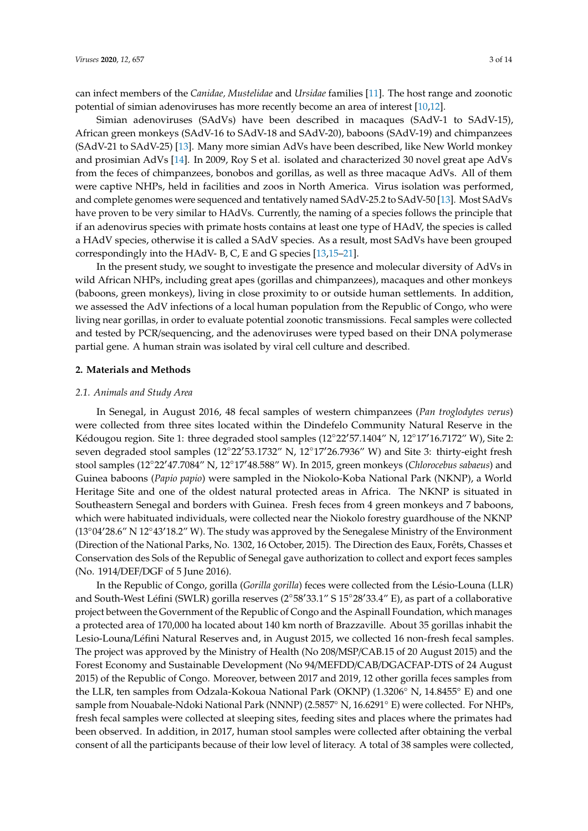can infect members of the *Canidae, Mustelidae* and *Ursidae* families [\[11\]](#page-12-10). The host range and zoonotic potential of simian adenoviruses has more recently become an area of interest [\[10,](#page-12-9)[12\]](#page-12-11).

Simian adenoviruses (SAdVs) have been described in macaques (SAdV-1 to SAdV-15), African green monkeys (SAdV-16 to SAdV-18 and SAdV-20), baboons (SAdV-19) and chimpanzees (SAdV-21 to SAdV-25) [\[13\]](#page-12-12). Many more simian AdVs have been described, like New World monkey and prosimian AdVs [\[14\]](#page-12-13). In 2009, Roy S et al. isolated and characterized 30 novel great ape AdVs from the feces of chimpanzees, bonobos and gorillas, as well as three macaque AdVs. All of them were captive NHPs, held in facilities and zoos in North America. Virus isolation was performed, and complete genomes were sequenced and tentatively named SAdV-25.2 to SAdV-50 [\[13\]](#page-12-12). Most SAdVs have proven to be very similar to HAdVs. Currently, the naming of a species follows the principle that if an adenovirus species with primate hosts contains at least one type of HAdV, the species is called a HAdV species, otherwise it is called a SAdV species. As a result, most SAdVs have been grouped correspondingly into the HAdV- B, C, E and G species [\[13](#page-12-12)[,15–](#page-12-14)[21\]](#page-13-0).

In the present study, we sought to investigate the presence and molecular diversity of AdVs in wild African NHPs, including great apes (gorillas and chimpanzees), macaques and other monkeys (baboons, green monkeys), living in close proximity to or outside human settlements. In addition, we assessed the AdV infections of a local human population from the Republic of Congo, who were living near gorillas, in order to evaluate potential zoonotic transmissions. Fecal samples were collected and tested by PCR/sequencing, and the adenoviruses were typed based on their DNA polymerase partial gene. A human strain was isolated by viral cell culture and described.

#### **2. Materials and Methods**

#### *2.1. Animals and Study Area*

In Senegal, in August 2016, 48 fecal samples of western chimpanzees (*Pan troglodytes verus*) were collected from three sites located within the Dindefelo Community Natural Reserve in the Kédougou region. Site 1: three degraded stool samples (12°22'57.1404" N, 12°17'16.7172" W), Site 2: seven degraded stool samples (12°22'53.1732" N, 12°17'26.7936" W) and Site 3: thirty-eight fresh stool samples (12°22'47.7084" N, 12°17'48.588" W). In 2015, green monkeys (*Chlorocebus sabaeus*) and Guinea baboons (*Papio papio*) were sampled in the Niokolo-Koba National Park (NKNP), a World Heritage Site and one of the oldest natural protected areas in Africa. The NKNP is situated in Southeastern Senegal and borders with Guinea. Fresh feces from 4 green monkeys and 7 baboons, which were habituated individuals, were collected near the Niokolo forestry guardhouse of the NKNP  $(13°04'28.6"$  N  $12°43'18.2"$  W). The study was approved by the Senegalese Ministry of the Environment (Direction of the National Parks, No. 1302, 16 October, 2015). The Direction des Eaux, Forêts, Chasses et Conservation des Sols of the Republic of Senegal gave authorization to collect and export feces samples (No. 1914/DEF/DGF of 5 June 2016).

In the Republic of Congo, gorilla (*Gorilla gorilla*) feces were collected from the Lésio-Louna (LLR) and South-West Léfini (SWLR) gorilla reserves (2°58'33.1" S 15°28'33.4" E), as part of a collaborative project between the Government of the Republic of Congo and the Aspinall Foundation, which manages a protected area of 170,000 ha located about 140 km north of Brazzaville. About 35 gorillas inhabit the Lesio-Louna/Léfini Natural Reserves and, in August 2015, we collected 16 non-fresh fecal samples. The project was approved by the Ministry of Health (No 208/MSP/CAB.15 of 20 August 2015) and the Forest Economy and Sustainable Development (No 94/MEFDD/CAB/DGACFAP-DTS of 24 August 2015) of the Republic of Congo. Moreover, between 2017 and 2019, 12 other gorilla feces samples from the LLR, ten samples from Odzala-Kokoua National Park (OKNP) (1.3206◦ N, 14.8455◦ E) and one sample from Nouabale-Ndoki National Park (NNNP) (2.5857° N, 16.6291° E) were collected. For NHPs, fresh fecal samples were collected at sleeping sites, feeding sites and places where the primates had been observed. In addition, in 2017, human stool samples were collected after obtaining the verbal consent of all the participants because of their low level of literacy. A total of 38 samples were collected,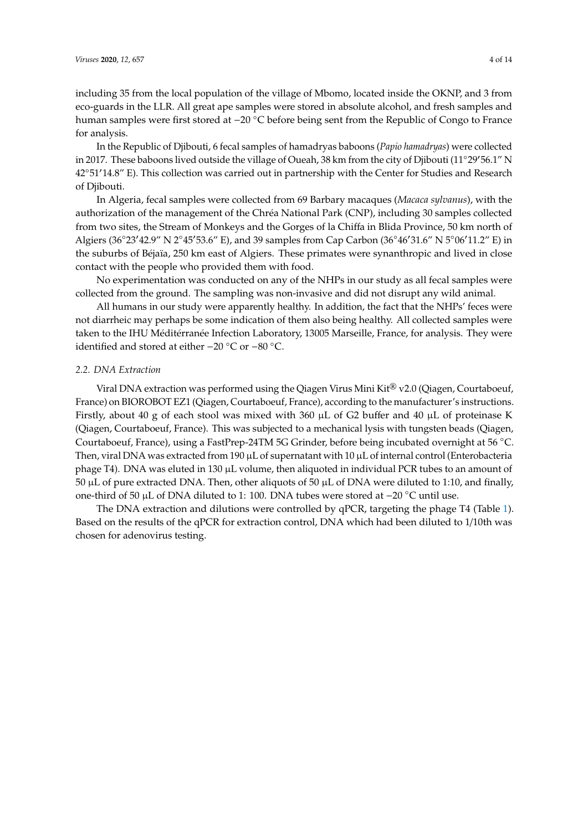In the Republic of Djibouti, 6 fecal samples of hamadryas baboons (*Papio hamadryas*) were collected in 2017. These baboons lived outside the village of Oueah, 38 km from the city of Djibouti (11°29′56.1" N 42°51'14.8" E). This collection was carried out in partnership with the Center for Studies and Research of Djibouti.

In Algeria, fecal samples were collected from 69 Barbary macaques (*Macaca sylvanus*), with the authorization of the management of the Chréa National Park (CNP), including 30 samples collected from two sites, the Stream of Monkeys and the Gorges of la Chiffa in Blida Province, 50 km north of Algiers (36°23′42.9" N 2°45′53.6" E), and 39 samples from Cap Carbon (36°46′31.6" N 5°06′11.2" E) in the suburbs of Béjaïa, 250 km east of Algiers. These primates were synanthropic and lived in close contact with the people who provided them with food.

No experimentation was conducted on any of the NHPs in our study as all fecal samples were collected from the ground. The sampling was non-invasive and did not disrupt any wild animal.

All humans in our study were apparently healthy. In addition, the fact that the NHPs' feces were not diarrheic may perhaps be some indication of them also being healthy. All collected samples were taken to the IHU Méditérranée Infection Laboratory, 13005 Marseille, France, for analysis. They were identified and stored at either −20 ◦C or −80 ◦C.

## *2.2. DNA Extraction*

Viral DNA extraction was performed using the Qiagen Virus Mini Kit<sup>®</sup> v2.0 (Qiagen, Courtaboeuf, France) on BIOROBOT EZ1 (Qiagen, Courtaboeuf, France), according to the manufacturer's instructions. Firstly, about 40 g of each stool was mixed with 360 µL of G2 buffer and 40 µL of proteinase K (Qiagen, Courtaboeuf, France). This was subjected to a mechanical lysis with tungsten beads (Qiagen, Courtaboeuf, France), using a FastPrep-24TM 5G Grinder, before being incubated overnight at 56 ◦C. Then, viral DNA was extracted from 190  $\mu$ L of supernatant with 10  $\mu$ L of internal control (Enterobacteria phage T4). DNA was eluted in 130 µL volume, then aliquoted in individual PCR tubes to an amount of  $50 \mu L$  of pure extracted DNA. Then, other aliquots of  $50 \mu L$  of DNA were diluted to 1:10, and finally, one-third of 50 µL of DNA diluted to 1: 100. DNA tubes were stored at −20 ◦C until use.

The DNA extraction and dilutions were controlled by qPCR, targeting the phage T4 (Table [1\)](#page-4-0). Based on the results of the qPCR for extraction control, DNA which had been diluted to 1/10th was chosen for adenovirus testing.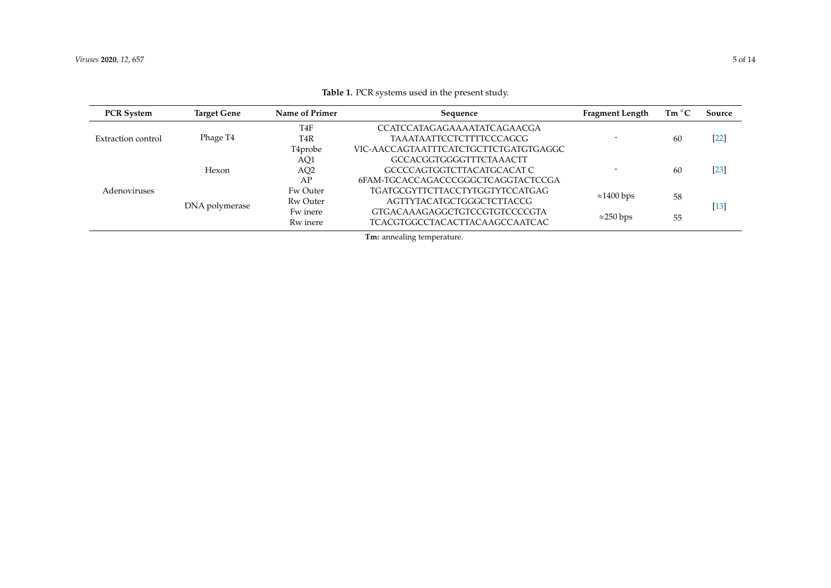<span id="page-4-0"></span>

| <b>PCR System</b>  | <b>Target Gene</b> | Name of Primer       | Sequence                              | <b>Fragment Length</b> | Tm °C | Source |
|--------------------|--------------------|----------------------|---------------------------------------|------------------------|-------|--------|
| Extraction control | Phage T4           | T <sub>4</sub> F     | CCATCCATAGAGAAAATATCAGAACGA           |                        | 60    | $[22]$ |
|                    |                    | T <sub>4</sub> R     | <b>TAAATAATTCCTCTTTTCCCAGCG</b>       |                        |       |        |
|                    |                    | T <sub>4</sub> probe | VIC-AACCAGTAATTTCATCTGCTTCTGATGTGAGGC |                        |       |        |
| Adenoviruses       | Hexon              | AQ1                  | GCCACGGTGGGGTTTCTAAACTT               |                        | 60    | $[23]$ |
|                    |                    | AQ <sub>2</sub>      | GCCCCAGTGGTCTTACATGCACAT C            |                        |       |        |
|                    |                    | AP                   | 6FAM-TGCACCAGACCCGGGCTCAGGTACTCCGA    |                        |       |        |
|                    | DNA polymerase     | Fw Outer             | TGATGCGYTTCTTACCTYTGGTYTCCATGAG       | $\approx$ 1400 bps     | 58    | $[13]$ |
|                    |                    | Rw Outer             | AGTTYTACATGCTGGGCTCTTACCG             |                        |       |        |
|                    |                    | Fw inere             | GTGACAAAGAGGCTGTCCGTGTCCCCGTA         | $\approx$ 250 bps      | 55    |        |
|                    |                    | Rw inere             | <b>TCACGTGGCCTACACTTACAAGCCAATCAC</b> |                        |       |        |

**Table 1.** PCR systems used in the present study.

**Tm:** annealing temperature.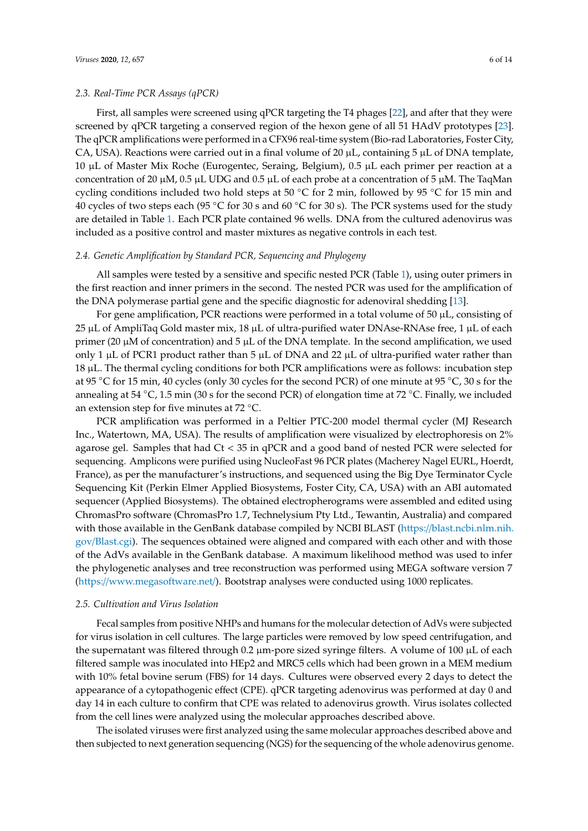#### *2.3. Real-Time PCR Assays (qPCR)*

First, all samples were screened using qPCR targeting the T4 phages [\[22\]](#page-13-3), and after that they were screened by qPCR targeting a conserved region of the hexon gene of all 51 HAdV prototypes [\[23\]](#page-13-4). The qPCR amplifications were performed in a CFX96 real-time system (Bio-rad Laboratories, Foster City, CA, USA). Reactions were carried out in a final volume of 20  $\mu$ L, containing 5  $\mu$ L of DNA template, 10 µL of Master Mix Roche (Eurogentec, Seraing, Belgium), 0.5 µL each primer per reaction at a concentration of 20  $\mu$ M, 0.5  $\mu$ L UDG and 0.5  $\mu$ L of each probe at a concentration of 5  $\mu$ M. The TaqMan cycling conditions included two hold steps at 50 ◦C for 2 min, followed by 95 ◦C for 15 min and 40 cycles of two steps each (95 ◦C for 30 s and 60 ◦C for 30 s). The PCR systems used for the study are detailed in Table [1.](#page-4-0) Each PCR plate contained 96 wells. DNA from the cultured adenovirus was included as a positive control and master mixtures as negative controls in each test.

## *2.4. Genetic Amplification by Standard PCR, Sequencing and Phylogeny*

All samples were tested by a sensitive and specific nested PCR (Table [1\)](#page-4-0), using outer primers in the first reaction and inner primers in the second. The nested PCR was used for the amplification of the DNA polymerase partial gene and the specific diagnostic for adenoviral shedding [\[13\]](#page-12-12).

For gene amplification, PCR reactions were performed in a total volume of  $50 \mu L$ , consisting of  $25 \mu L$  of AmpliTaq Gold master mix, 18  $\mu L$  of ultra-purified water DNAse-RNAse free, 1  $\mu L$  of each primer (20  $\mu$ M of concentration) and 5  $\mu$ L of the DNA template. In the second amplification, we used only 1  $\mu$ L of PCR1 product rather than 5  $\mu$ L of DNA and 22  $\mu$ L of ultra-purified water rather than 18 µL. The thermal cycling conditions for both PCR amplifications were as follows: incubation step at 95 ◦C for 15 min, 40 cycles (only 30 cycles for the second PCR) of one minute at 95 ◦C, 30 s for the annealing at 54 ◦C, 1.5 min (30 s for the second PCR) of elongation time at 72 ◦C. Finally, we included an extension step for five minutes at 72 ◦C.

PCR amplification was performed in a Peltier PTC-200 model thermal cycler (MJ Research Inc., Watertown, MA, USA). The results of amplification were visualized by electrophoresis on 2% agarose gel. Samples that had Ct < 35 in qPCR and a good band of nested PCR were selected for sequencing. Amplicons were purified using NucleoFast 96 PCR plates (Macherey Nagel EURL, Hoerdt, France), as per the manufacturer's instructions, and sequenced using the Big Dye Terminator Cycle Sequencing Kit (Perkin Elmer Applied Biosystems, Foster City, CA, USA) with an ABI automated sequencer (Applied Biosystems). The obtained electropherograms were assembled and edited using ChromasPro software (ChromasPro 1.7, Technelysium Pty Ltd., Tewantin, Australia) and compared with those available in the GenBank database compiled by NCBI BLAST (https://[blast.ncbi.nlm.nih.](https://blast.ncbi.nlm.nih.gov/Blast.cgi) gov/[Blast.cgi\)](https://blast.ncbi.nlm.nih.gov/Blast.cgi). The sequences obtained were aligned and compared with each other and with those of the AdVs available in the GenBank database. A maximum likelihood method was used to infer the phylogenetic analyses and tree reconstruction was performed using MEGA software version 7 (https://[www.megasoftware.net](https://www.megasoftware.net/)/). Bootstrap analyses were conducted using 1000 replicates.

#### *2.5. Cultivation and Virus Isolation*

Fecal samples from positive NHPs and humans for the molecular detection of AdVs were subjected for virus isolation in cell cultures. The large particles were removed by low speed centrifugation, and the supernatant was filtered through  $0.2 \mu m$ -pore sized syringe filters. A volume of  $100 \mu L$  of each filtered sample was inoculated into HEp2 and MRC5 cells which had been grown in a MEM medium with 10% fetal bovine serum (FBS) for 14 days. Cultures were observed every 2 days to detect the appearance of a cytopathogenic effect (CPE). qPCR targeting adenovirus was performed at day 0 and day 14 in each culture to confirm that CPE was related to adenovirus growth. Virus isolates collected from the cell lines were analyzed using the molecular approaches described above.

The isolated viruses were first analyzed using the same molecular approaches described above and then subjected to next generation sequencing (NGS) for the sequencing of the whole adenovirus genome.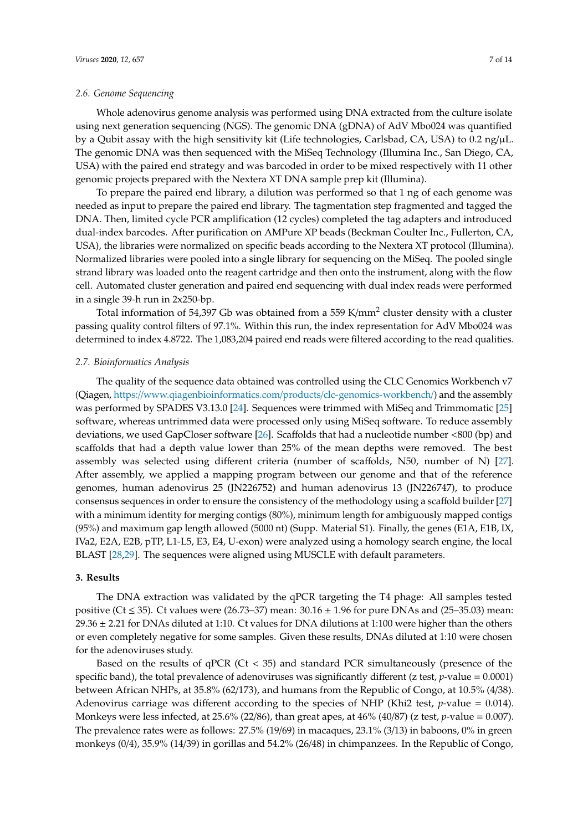## *2.6. Genome Sequencing*

Whole adenovirus genome analysis was performed using DNA extracted from the culture isolate using next generation sequencing (NGS). The genomic DNA (gDNA) of AdV Mbo024 was quantified by a Qubit assay with the high sensitivity kit (Life technologies, Carlsbad, CA, USA) to 0.2 ng/µL. The genomic DNA was then sequenced with the MiSeq Technology (Illumina Inc., San Diego, CA, USA) with the paired end strategy and was barcoded in order to be mixed respectively with 11 other genomic projects prepared with the Nextera XT DNA sample prep kit (Illumina).

To prepare the paired end library, a dilution was performed so that 1 ng of each genome was needed as input to prepare the paired end library. The tagmentation step fragmented and tagged the DNA. Then, limited cycle PCR amplification (12 cycles) completed the tag adapters and introduced dual-index barcodes. After purification on AMPure XP beads (Beckman Coulter Inc., Fullerton, CA, USA), the libraries were normalized on specific beads according to the Nextera XT protocol (Illumina). Normalized libraries were pooled into a single library for sequencing on the MiSeq. The pooled single strand library was loaded onto the reagent cartridge and then onto the instrument, along with the flow cell. Automated cluster generation and paired end sequencing with dual index reads were performed in a single 39-h run in 2x250-bp.

Total information of 54,397 Gb was obtained from a 559 K/mm<sup>2</sup> cluster density with a cluster passing quality control filters of 97.1%. Within this run, the index representation for AdV Mbo024 was determined to index 4.8722. The 1,083,204 paired end reads were filtered according to the read qualities.

## *2.7. Bioinformatics Analysis*

The quality of the sequence data obtained was controlled using the CLC Genomics Workbench v7 (Qiagen, https://[www.qiagenbioinformatics.com](https://www.qiagenbioinformatics.com/products/clc-genomics-workbench/)/products/clc-genomics-workbench/) and the assembly was performed by SPADES V3.13.0 [\[24\]](#page-13-5). Sequences were trimmed with MiSeq and Trimmomatic [\[25\]](#page-13-6) software, whereas untrimmed data were processed only using MiSeq software. To reduce assembly deviations, we used GapCloser software [\[26\]](#page-13-7). Scaffolds that had a nucleotide number <800 (bp) and scaffolds that had a depth value lower than 25% of the mean depths were removed. The best assembly was selected using different criteria (number of scaffolds, N50, number of N) [\[27\]](#page-13-8). After assembly, we applied a mapping program between our genome and that of the reference genomes, human adenovirus 25 (JN226752) and human adenovirus 13 (JN226747), to produce consensus sequences in order to ensure the consistency of the methodology using a scaffold builder [\[27\]](#page-13-8) with a minimum identity for merging contigs (80%), minimum length for ambiguously mapped contigs (95%) and maximum gap length allowed (5000 nt) (Supp. Material S1). Finally, the genes (E1A, E1B, IX, IVa2, E2A, E2B, pTP, L1-L5, E3, E4, U-exon) were analyzed using a homology search engine, the local BLAST [\[28,](#page-13-9)[29\]](#page-13-10). The sequences were aligned using MUSCLE with default parameters.

## **3. Results**

The DNA extraction was validated by the qPCR targeting the T4 phage: All samples tested positive (Ct  $\leq$  35). Ct values were (26.73–37) mean: 30.16  $\pm$  1.96 for pure DNAs and (25–35.03) mean: 29.36 ± 2.21 for DNAs diluted at 1:10. Ct values for DNA dilutions at 1:100 were higher than the others or even completely negative for some samples. Given these results, DNAs diluted at 1:10 were chosen for the adenoviruses study.

Based on the results of  $qPCR$  (Ct < 35) and standard PCR simultaneously (presence of the specific band), the total prevalence of adenoviruses was significantly different (z test,  $p$ -value = 0.0001) between African NHPs, at 35.8% (62/173), and humans from the Republic of Congo, at 10.5% (4/38). Adenovirus carriage was different according to the species of NHP (Khi2 test, *p*-value = 0.014). Monkeys were less infected, at 25.6% (22/86), than great apes, at 46% (40/87) (z test, *p*-value = 0.007). The prevalence rates were as follows: 27.5% (19/69) in macaques, 23.1% (3/13) in baboons, 0% in green monkeys (0/4), 35.9% (14/39) in gorillas and 54.2% (26/48) in chimpanzees. In the Republic of Congo,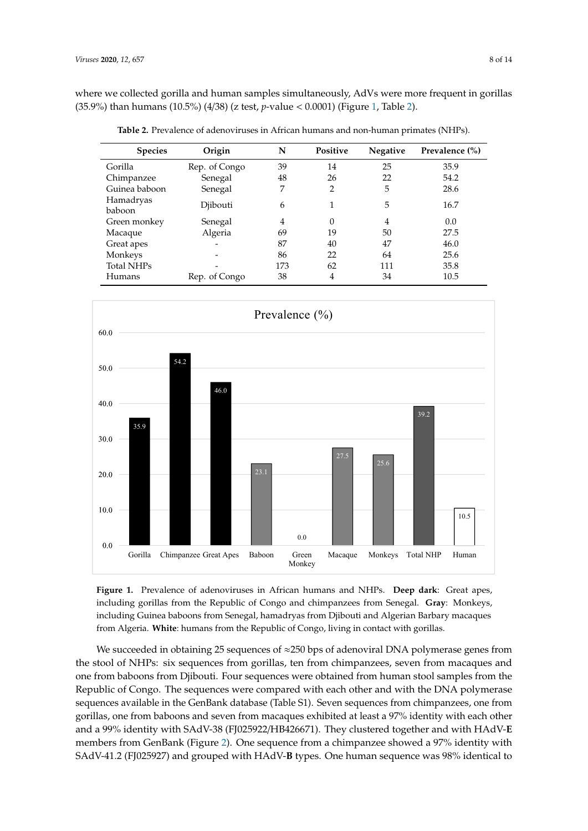where we collected gorilla and human samples simultaneously, AdVs were more frequent in gorillas (35.9%) than humans (10.5%) (4/38) (z test*, p*-value < 0.0001) (Figure [1,](#page-7-0) Table [2\)](#page-7-1).

| <b>Species</b>      | Origin        | N   | <b>Positive</b> | <b>Negative</b> | Prevalence (%) |
|---------------------|---------------|-----|-----------------|-----------------|----------------|
| Gorilla             | Rep. of Congo | 39  | 14              | 25              | 35.9           |
| Chimpanzee          | Senegal       | 48  | 26              | 22              | 54.2           |
| Guinea baboon       | Senegal       | 7   | 2               | 5               | 28.6           |
| Hamadryas<br>baboon | Djibouti      | 6   |                 | 5               | 16.7           |
| Green monkey        | Senegal       | 4   | $\Omega$        | 4               | 0.0            |
| Macaque             | Algeria       | 69  | 19              | 50              | 27.5           |
| Great apes          |               | 87  | 40              | 47              | 46.0           |
| Monkeys             |               | 86  | 22              | 64              | 25.6           |
| <b>Total NHPs</b>   |               | 173 | 62              | 111             | 35.8           |
| Humans              | Rep. of Congo | 38  | 4               | 34              | 10.5           |

<span id="page-7-1"></span>Table 2. Prevalence of adenoviruses in African humans and non-human primates (NHPs).

<span id="page-7-0"></span>

Figure 1. Prevalence of adenoviruses in African humans and NHPs. Deep dark: Great apes, including gorillas from the Republic of Congo and chimpanzees from Senegal. Gray: Monkeys, including Guinea baboons from Senegal, hamadryas from Djibouti and Algerian Barbary macaques humans from the Republic of Congo, living in contact with gorillas. from Algeria. **White**: humans from the Republic of Congo, living in contact with gorillas.

We succeeded in obtaining 25 sequences of ≈250 bps of adenoviral DNA polymerase genes from We succeeded in obtaining 25 sequences of ≈250 bps of adenoviral DNA polymerase genes from the stock of NHPs: six sequences of  $\sim$  200 pp or decreasing from polymerase genes in the stool of NHPs: six sequences from gorillas, ten from chimpanzees, seven from macaques and one from baboons from Djibouti. Four sequences were obtained from human stool samples from the Republic of Congo. The sequences were compared with each other and with the DNA polymerase sequences available in the GenBank database (Table S1). Seven sequences from chimpanzees, one from gorillas, one from baboons and seven from macaques exhibited at least a 97% identity with each other and a 99% identity with SAdV-38 (FJ025922/HB426671). They clustered together and with HAdV-**E** members from GenBank (Figure [2\)](#page-8-0). One sequence from a chimpanzee showed a 97% identity with SAdV-41.2 (FJ025927) and grouped with HAdV-**B** types. One human sequence was 98% identical to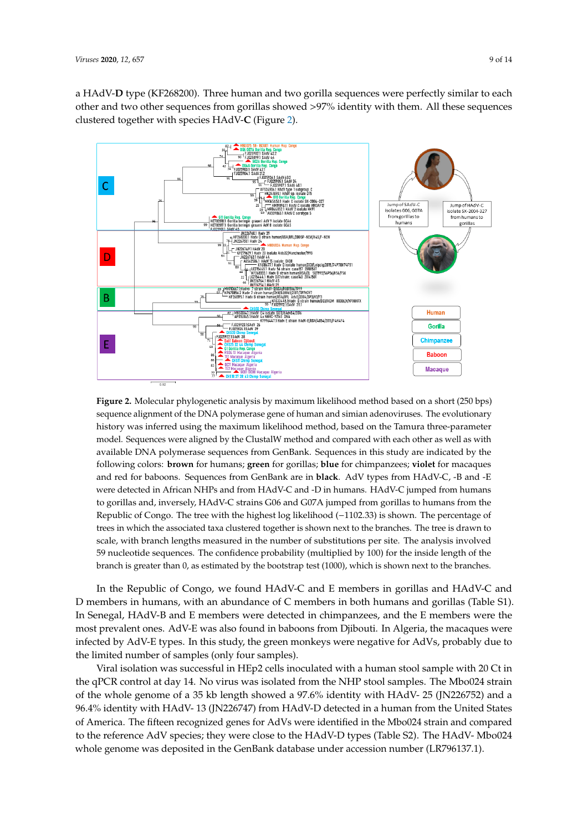a HAdV-D type (KF268200). Three human and two gorilla sequences were perfectly similar to each other and two other sequences from gorillas showed >97% identity with them. All these sequences clustered together with species HAdV-**C** (Figure [2\)](#page-8-0). together with species HAdV-**C** (Figure 2). and two other sequences from gorine gorillas showed  $\frac{1}{\sqrt{2}}$ .

<span id="page-8-0"></span>

**Figure 2.** Molecular phylogenetic analysis by maximum likelihood method based on a short (250 bps) **Figure 2.** Molecular phylogenetic analysis by maximum likelihood method based on a short (250 bps) sequence alignment of the DNA polymerase gene of human and simian adenoviruses. The evolutionary sequence alignment of the DNA polymerase gene of human and simian adenoviruses. The evolutionary history was inferred using the maximum likelihood method, based on the Tamura three-parameter history was inferred using the maximum likelihood method, based on the Tamura three-parameter in the maximum likelihood method, based on the Tamura three-parameter model. Sequences were aligned by the ClustalW method and compared with each other as well as with available DNA polymerase sequences from GenBank. Sequences in this study are indicated by the following colors: brown for humans; green for gorillas; blue for chimpanzees; violet for macaques and red for baboons. Sequences from GenBank are in **black**. AdV types from HAdV-C, -B and -E were detected in African NHPs and from HAdV-C and -D in humans. HAdV-C jumped from humans to gorillas and, inversely, HAdV-C strains G06 and G07A jumped from gorillas to humans from the Republic of Congo. The tree with the highest log likelihood (−1102.33) is shown. The percentage of trees in which the associated taxa clustered together is shown next to the branches. The tree is drawn to scale, with branch lengths measured in the number of substitutions per site. The analysis involved 59 nucleotide sequences. The confidence probability (multiplied by 100) for the inside length of the branch is greater than 0, as estimated by the bootstrap test (1000), which is shown next to the branches.

 $m_{\rm B}$  in the members in both and goring in both humans and goriellas (Table S1). In section  $\sim$ In the Republic of Congo, we found HAdV-C and E members in gorillas and HAdV-C and D members in humans, with an abundance of C members in both humans and gorillas (Table S1). In Senegal, HAdV-B and E members were detected in chimpanzees, and the E members were the most prevalent ones. AdV-E was also found in baboons from Djibouti. In Algeria, the macaques were infected by AdV-E types. In this study, the green monkeys were negative for AdVs, probably due to the limited number of samples (only four samples).

Viral isolation was successful in HEp2 cells inoculated with a human stool sample with 20 Ct in the qPCR control at day 14. No virus was isolated from the NHP stool samples. The Mbo024 strain of the whole genome of a 35 kb length showed a 97.6% identity with HAdV- 25 (JN226752) and a 96.4% identity with HAdV- 13 (JN226747) from HAdV-D detected in a human from the United States of America. The fifteen recognized genes for AdVs were identified in the Mbo024 strain and compared to the reference AdV species; they were close to the HAdV-D types (Table S2). The HAdV- Mbo024 whole genome was deposited in the GenBank database under accession number (LR796137.1).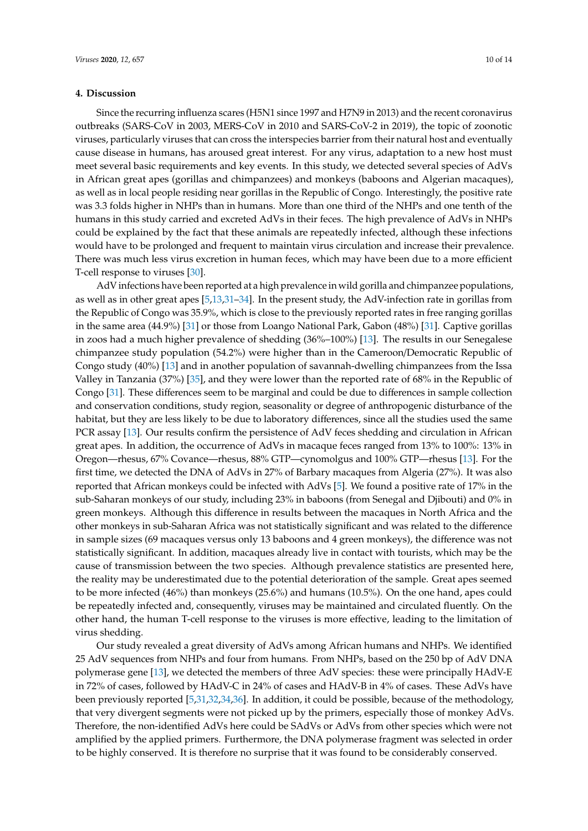## **4. Discussion**

Since the recurring influenza scares (H5N1 since 1997 and H7N9 in 2013) and the recent coronavirus outbreaks (SARS-CoV in 2003, MERS-CoV in 2010 and SARS-CoV-2 in 2019), the topic of zoonotic viruses, particularly viruses that can cross the interspecies barrier from their natural host and eventually cause disease in humans, has aroused great interest. For any virus, adaptation to a new host must meet several basic requirements and key events. In this study, we detected several species of AdVs in African great apes (gorillas and chimpanzees) and monkeys (baboons and Algerian macaques), as well as in local people residing near gorillas in the Republic of Congo. Interestingly, the positive rate was 3.3 folds higher in NHPs than in humans. More than one third of the NHPs and one tenth of the humans in this study carried and excreted AdVs in their feces. The high prevalence of AdVs in NHPs could be explained by the fact that these animals are repeatedly infected, although these infections would have to be prolonged and frequent to maintain virus circulation and increase their prevalence. There was much less virus excretion in human feces, which may have been due to a more efficient T-cell response to viruses [\[30\]](#page-13-11).

AdV infections have been reported at a high prevalence in wild gorilla and chimpanzee populations, as well as in other great apes [\[5](#page-12-4)[,13](#page-12-12)[,31](#page-13-12)[–34\]](#page-13-13). In the present study, the AdV-infection rate in gorillas from the Republic of Congo was 35.9%, which is close to the previously reported rates in free ranging gorillas in the same area (44.9%) [\[31\]](#page-13-12) or those from Loango National Park, Gabon (48%) [\[31\]](#page-13-12). Captive gorillas in zoos had a much higher prevalence of shedding (36%–100%) [\[13\]](#page-12-12). The results in our Senegalese chimpanzee study population (54.2%) were higher than in the Cameroon/Democratic Republic of Congo study (40%) [\[13\]](#page-12-12) and in another population of savannah-dwelling chimpanzees from the Issa Valley in Tanzania (37%) [\[35\]](#page-13-14), and they were lower than the reported rate of 68% in the Republic of Congo [\[31\]](#page-13-12). These differences seem to be marginal and could be due to differences in sample collection and conservation conditions, study region, seasonality or degree of anthropogenic disturbance of the habitat, but they are less likely to be due to laboratory differences, since all the studies used the same PCR assay [\[13\]](#page-12-12). Our results confirm the persistence of AdV feces shedding and circulation in African great apes. In addition, the occurrence of AdVs in macaque feces ranged from 13% to 100%: 13% in Oregon—rhesus, 67% Covance—rhesus, 88% GTP—cynomolgus and 100% GTP—rhesus [\[13\]](#page-12-12). For the first time, we detected the DNA of AdVs in 27% of Barbary macaques from Algeria (27%). It was also reported that African monkeys could be infected with AdVs [\[5\]](#page-12-4). We found a positive rate of 17% in the sub-Saharan monkeys of our study, including 23% in baboons (from Senegal and Djibouti) and 0% in green monkeys. Although this difference in results between the macaques in North Africa and the other monkeys in sub-Saharan Africa was not statistically significant and was related to the difference in sample sizes (69 macaques versus only 13 baboons and 4 green monkeys), the difference was not statistically significant. In addition, macaques already live in contact with tourists, which may be the cause of transmission between the two species. Although prevalence statistics are presented here, the reality may be underestimated due to the potential deterioration of the sample. Great apes seemed to be more infected (46%) than monkeys (25.6%) and humans (10.5%). On the one hand, apes could be repeatedly infected and, consequently, viruses may be maintained and circulated fluently. On the other hand, the human T-cell response to the viruses is more effective, leading to the limitation of virus shedding.

Our study revealed a great diversity of AdVs among African humans and NHPs. We identified 25 AdV sequences from NHPs and four from humans. From NHPs, based on the 250 bp of AdV DNA polymerase gene [\[13\]](#page-12-12), we detected the members of three AdV species: these were principally HAdV-E in 72% of cases, followed by HAdV-C in 24% of cases and HAdV-B in 4% of cases. These AdVs have been previously reported [\[5](#page-12-4)[,31](#page-13-12)[,32,](#page-13-15)[34,](#page-13-13)[36\]](#page-13-16). In addition, it could be possible, because of the methodology, that very divergent segments were not picked up by the primers, especially those of monkey AdVs. Therefore, the non-identified AdVs here could be SAdVs or AdVs from other species which were not amplified by the applied primers. Furthermore, the DNA polymerase fragment was selected in order to be highly conserved. It is therefore no surprise that it was found to be considerably conserved.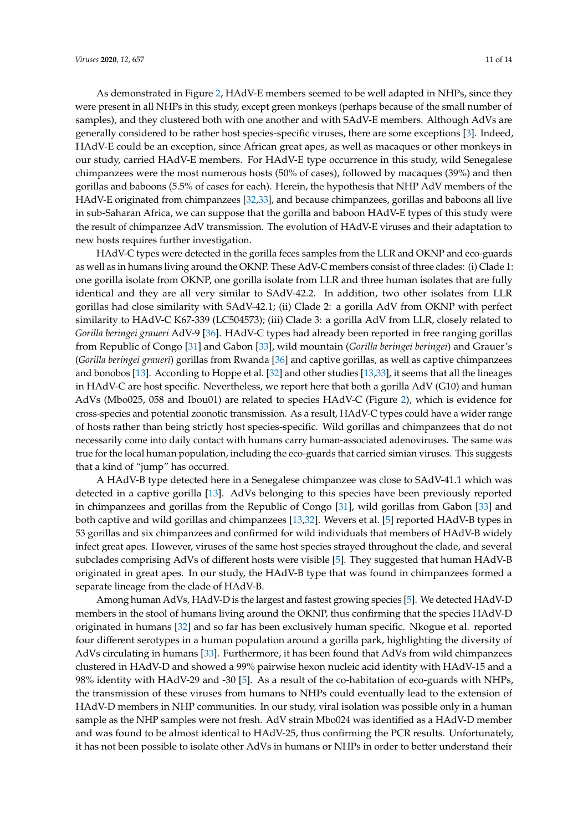As demonstrated in Figure [2,](#page-8-0) HAdV-E members seemed to be well adapted in NHPs, since they were present in all NHPs in this study, except green monkeys (perhaps because of the small number of samples), and they clustered both with one another and with SAdV-E members. Although AdVs are generally considered to be rather host species-specific viruses, there are some exceptions [\[3\]](#page-12-2). Indeed, HAdV-E could be an exception, since African great apes, as well as macaques or other monkeys in our study, carried HAdV-E members. For HAdV-E type occurrence in this study, wild Senegalese chimpanzees were the most numerous hosts (50% of cases), followed by macaques (39%) and then gorillas and baboons (5.5% of cases for each). Herein, the hypothesis that NHP AdV members of the HAdV-E originated from chimpanzees [\[32](#page-13-15)[,33\]](#page-13-17), and because chimpanzees, gorillas and baboons all live in sub-Saharan Africa, we can suppose that the gorilla and baboon HAdV-E types of this study were the result of chimpanzee AdV transmission. The evolution of HAdV-E viruses and their adaptation to new hosts requires further investigation.

HAdV-C types were detected in the gorilla feces samples from the LLR and OKNP and eco-guards as well as in humans living around the OKNP. These AdV-C members consist of three clades: (i) Clade 1: one gorilla isolate from OKNP, one gorilla isolate from LLR and three human isolates that are fully identical and they are all very similar to SAdV-42.2. In addition, two other isolates from LLR gorillas had close similarity with SAdV-42.1; (ii) Clade 2: a gorilla AdV from OKNP with perfect similarity to HAdV-C K67-339 (LC504573); (iii) Clade 3: a gorilla AdV from LLR, closely related to *Gorilla beringei graueri* AdV-9 [\[36\]](#page-13-16). HAdV-C types had already been reported in free ranging gorillas from Republic of Congo [\[31\]](#page-13-12) and Gabon [\[33\]](#page-13-17), wild mountain (*Gorilla beringei beringei*) and Grauer's (*Gorilla beringei graueri*) gorillas from Rwanda [\[36\]](#page-13-16) and captive gorillas, as well as captive chimpanzees and bonobos [\[13\]](#page-12-12). According to Hoppe et al. [\[32\]](#page-13-15) and other studies [\[13](#page-12-12)[,33\]](#page-13-17), it seems that all the lineages in HAdV-C are host specific. Nevertheless, we report here that both a gorilla AdV (G10) and human AdVs (Mbo025, 058 and Ibou01) are related to species HAdV-C (Figure [2\)](#page-8-0), which is evidence for cross-species and potential zoonotic transmission. As a result, HAdV-C types could have a wider range of hosts rather than being strictly host species-specific. Wild gorillas and chimpanzees that do not necessarily come into daily contact with humans carry human-associated adenoviruses. The same was true for the local human population, including the eco-guards that carried simian viruses. This suggests that a kind of "jump" has occurred.

A HAdV-B type detected here in a Senegalese chimpanzee was close to SAdV-41.1 which was detected in a captive gorilla [\[13\]](#page-12-12). AdVs belonging to this species have been previously reported in chimpanzees and gorillas from the Republic of Congo [\[31\]](#page-13-12), wild gorillas from Gabon [\[33\]](#page-13-17) and both captive and wild gorillas and chimpanzees [\[13,](#page-12-12)[32\]](#page-13-15). Wevers et al. [\[5\]](#page-12-4) reported HAdV-B types in 53 gorillas and six chimpanzees and confirmed for wild individuals that members of HAdV-B widely infect great apes. However, viruses of the same host species strayed throughout the clade, and several subclades comprising AdVs of different hosts were visible [\[5\]](#page-12-4). They suggested that human HAdV-B originated in great apes. In our study, the HAdV-B type that was found in chimpanzees formed a separate lineage from the clade of HAdV-B.

Among human AdVs, HAdV-D is the largest and fastest growing species [\[5\]](#page-12-4). We detected HAdV-D members in the stool of humans living around the OKNP, thus confirming that the species HAdV-D originated in humans [\[32\]](#page-13-15) and so far has been exclusively human specific. Nkogue et al. reported four different serotypes in a human population around a gorilla park, highlighting the diversity of AdVs circulating in humans [\[33\]](#page-13-17). Furthermore, it has been found that AdVs from wild chimpanzees clustered in HAdV-D and showed a 99% pairwise hexon nucleic acid identity with HAdV-15 and a 98% identity with HAdV-29 and -30 [\[5\]](#page-12-4). As a result of the co-habitation of eco-guards with NHPs, the transmission of these viruses from humans to NHPs could eventually lead to the extension of HAdV-D members in NHP communities. In our study, viral isolation was possible only in a human sample as the NHP samples were not fresh. AdV strain Mbo024 was identified as a HAdV-D member and was found to be almost identical to HAdV-25, thus confirming the PCR results. Unfortunately, it has not been possible to isolate other AdVs in humans or NHPs in order to better understand their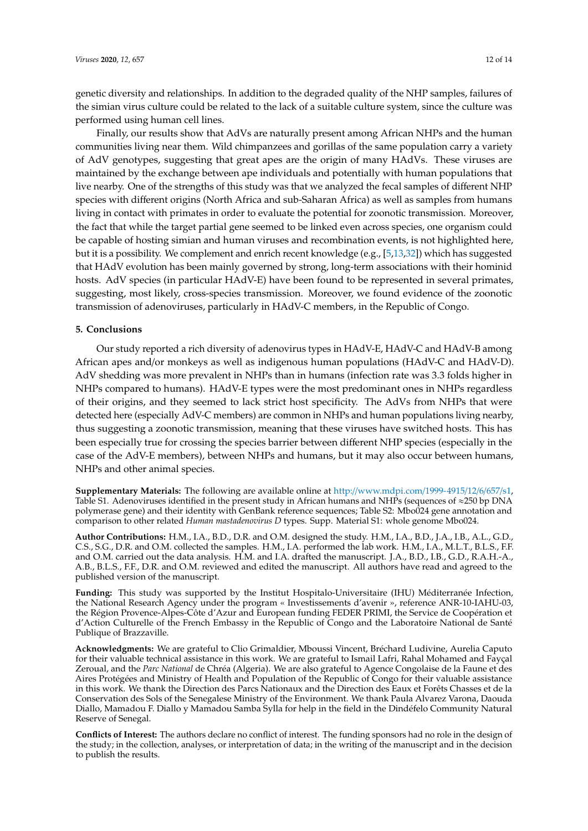genetic diversity and relationships. In addition to the degraded quality of the NHP samples, failures of the simian virus culture could be related to the lack of a suitable culture system, since the culture was performed using human cell lines.

Finally, our results show that AdVs are naturally present among African NHPs and the human communities living near them. Wild chimpanzees and gorillas of the same population carry a variety of AdV genotypes, suggesting that great apes are the origin of many HAdVs. These viruses are maintained by the exchange between ape individuals and potentially with human populations that live nearby. One of the strengths of this study was that we analyzed the fecal samples of different NHP species with different origins (North Africa and sub-Saharan Africa) as well as samples from humans living in contact with primates in order to evaluate the potential for zoonotic transmission. Moreover, the fact that while the target partial gene seemed to be linked even across species, one organism could be capable of hosting simian and human viruses and recombination events, is not highlighted here, but it is a possibility. We complement and enrich recent knowledge (e.g., [\[5,](#page-12-4)[13,](#page-12-12)[32\]](#page-13-15)) which has suggested that HAdV evolution has been mainly governed by strong, long-term associations with their hominid hosts. AdV species (in particular HAdV-E) have been found to be represented in several primates, suggesting, most likely, cross-species transmission. Moreover, we found evidence of the zoonotic transmission of adenoviruses, particularly in HAdV-C members, in the Republic of Congo.

## **5. Conclusions**

Our study reported a rich diversity of adenovirus types in HAdV-E, HAdV-C and HAdV-B among African apes and/or monkeys as well as indigenous human populations (HAdV-C and HAdV-D). AdV shedding was more prevalent in NHPs than in humans (infection rate was 3.3 folds higher in NHPs compared to humans). HAdV-E types were the most predominant ones in NHPs regardless of their origins, and they seemed to lack strict host specificity. The AdVs from NHPs that were detected here (especially AdV-C members) are common in NHPs and human populations living nearby, thus suggesting a zoonotic transmission, meaning that these viruses have switched hosts. This has been especially true for crossing the species barrier between different NHP species (especially in the case of the AdV-E members), between NHPs and humans, but it may also occur between humans, NHPs and other animal species.

**Supplementary Materials:** The following are available online at http://[www.mdpi.com](http://www.mdpi.com/1999-4915/12/6/657/s1)/1999-4915/12/6/657/s1, Table S1. Adenoviruses identified in the present study in African humans and NHPs (sequences of  $\approx$ 250 bp DNA polymerase gene) and their identity with GenBank reference sequences; Table S2: Mbo024 gene annotation and comparison to other related *Human mastadenovirus D* types. Supp. Material S1: whole genome Mbo024.

**Author Contributions:** H.M., I.A., B.D., D.R. and O.M. designed the study. H.M., I.A., B.D., J.A., I.B., A.L., G.D., C.S., S.G., D.R. and O.M. collected the samples. H.M., I.A. performed the lab work. H.M., I.A., M.L.T., B.L.S., F.F. and O.M. carried out the data analysis. H.M. and I.A. drafted the manuscript. J.A., B.D., I.B., G.D., R.A.H.-A., A.B., B.L.S., F.F., D.R. and O.M. reviewed and edited the manuscript. All authors have read and agreed to the published version of the manuscript.

**Funding:** This study was supported by the Institut Hospitalo-Universitaire (IHU) Méditerranée Infection, the National Research Agency under the program « Investissements d'avenir », reference ANR-10-IAHU-03, the Région Provence-Alpes-Côte d'Azur and European funding FEDER PRIMI, the Service de Coopération et d'Action Culturelle of the French Embassy in the Republic of Congo and the Laboratoire National de Santé Publique of Brazzaville.

**Acknowledgments:** We are grateful to Clio Grimaldier, Mboussi Vincent, Bréchard Ludivine, Aurelia Caputo for their valuable technical assistance in this work. We are grateful to Ismail Lafri, Rahal Mohamed and Fayçal Zeroual, and the *Parc National* de Chréa (Algeria). We are also grateful to Agence Congolaise de la Faune et des Aires Protégées and Ministry of Health and Population of the Republic of Congo for their valuable assistance in this work. We thank the Direction des Parcs Nationaux and the Direction des Eaux et Forêts Chasses et de la Conservation des Sols of the Senegalese Ministry of the Environment. We thank Paula Alvarez Varona, Daouda Diallo, Mamadou F. Diallo y Mamadou Samba Sylla for help in the field in the Dindéfelo Community Natural Reserve of Senegal.

**Conflicts of Interest:** The authors declare no conflict of interest. The funding sponsors had no role in the design of the study; in the collection, analyses, or interpretation of data; in the writing of the manuscript and in the decision to publish the results.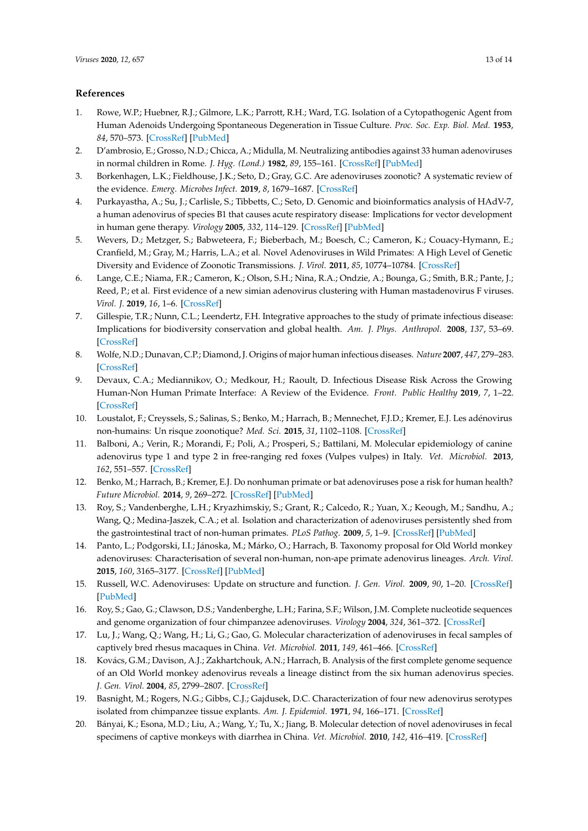## **References**

- <span id="page-12-0"></span>1. Rowe, W.P.; Huebner, R.J.; Gilmore, L.K.; Parrott, R.H.; Ward, T.G. Isolation of a Cytopathogenic Agent from Human Adenoids Undergoing Spontaneous Degeneration in Tissue Culture. *Proc. Soc. Exp. Biol. Med.* **1953**, *84*, 570–573. [\[CrossRef\]](http://dx.doi.org/10.3181/00379727-84-20714) [\[PubMed\]](http://www.ncbi.nlm.nih.gov/pubmed/13134217)
- <span id="page-12-1"></span>2. D'ambrosio, E.; Grosso, N.D.; Chicca, A.; Midulla, M. Neutralizing antibodies against 33 human adenoviruses in normal children in Rome. *J. Hyg. (Lond.)* **1982**, *89*, 155–161. [\[CrossRef\]](http://dx.doi.org/10.1017/S0022172400070650) [\[PubMed\]](http://www.ncbi.nlm.nih.gov/pubmed/7096999)
- <span id="page-12-2"></span>3. Borkenhagen, L.K.; Fieldhouse, J.K.; Seto, D.; Gray, G.C. Are adenoviruses zoonotic? A systematic review of the evidence. *Emerg. Microbes Infect.* **2019**, *8*, 1679–1687. [\[CrossRef\]](http://dx.doi.org/10.1080/22221751.2019.1690953)
- <span id="page-12-3"></span>4. Purkayastha, A.; Su, J.; Carlisle, S.; Tibbetts, C.; Seto, D. Genomic and bioinformatics analysis of HAdV-7, a human adenovirus of species B1 that causes acute respiratory disease: Implications for vector development in human gene therapy. *Virology* **2005**, *332*, 114–129. [\[CrossRef\]](http://dx.doi.org/10.1016/j.virol.2004.10.041) [\[PubMed\]](http://www.ncbi.nlm.nih.gov/pubmed/15661145)
- <span id="page-12-4"></span>5. Wevers, D.; Metzger, S.; Babweteera, F.; Bieberbach, M.; Boesch, C.; Cameron, K.; Couacy-Hymann, E.; Cranfield, M.; Gray, M.; Harris, L.A.; et al. Novel Adenoviruses in Wild Primates: A High Level of Genetic Diversity and Evidence of Zoonotic Transmissions. *J. Virol.* **2011**, *85*, 10774–10784. [\[CrossRef\]](http://dx.doi.org/10.1128/JVI.00810-11)
- <span id="page-12-15"></span><span id="page-12-5"></span>6. Lange, C.E.; Niama, F.R.; Cameron, K.; Olson, S.H.; Nina, R.A.; Ondzie, A.; Bounga, G.; Smith, B.R.; Pante, J.; Reed, P.; et al. First evidence of a new simian adenovirus clustering with Human mastadenovirus F viruses. *Virol. J.* **2019**, *16*, 1–6. [\[CrossRef\]](http://dx.doi.org/10.1186/s12985-019-1248-z)
- <span id="page-12-6"></span>7. Gillespie, T.R.; Nunn, C.L.; Leendertz, F.H. Integrative approaches to the study of primate infectious disease: Implications for biodiversity conservation and global health. *Am. J. Phys. Anthropol.* **2008**, *137*, 53–69. [\[CrossRef\]](http://dx.doi.org/10.1002/ajpa.20949)
- <span id="page-12-7"></span>8. Wolfe, N.D.; Dunavan, C.P.; Diamond, J. Origins of major human infectious diseases. *Nature* **2007**, *447*, 279–283. [\[CrossRef\]](http://dx.doi.org/10.1038/nature05775)
- <span id="page-12-8"></span>9. Devaux, C.A.; Mediannikov, O.; Medkour, H.; Raoult, D. Infectious Disease Risk Across the Growing Human-Non Human Primate Interface: A Review of the Evidence. *Front. Public Healthy* **2019**, *7*, 1–22. [\[CrossRef\]](http://dx.doi.org/10.3389/fpubh.2019.00305)
- <span id="page-12-9"></span>10. Loustalot, F.; Creyssels, S.; Salinas, S.; Benko, M.; Harrach, B.; Mennechet, F.J.D.; Kremer, E.J. Les adénovirus non-humains: Un risque zoonotique? *Med. Sci.* **2015**, *31*, 1102–1108. [\[CrossRef\]](http://dx.doi.org/10.1051/medsci/20153112013)
- <span id="page-12-10"></span>11. Balboni, A.; Verin, R.; Morandi, F.; Poli, A.; Prosperi, S.; Battilani, M. Molecular epidemiology of canine adenovirus type 1 and type 2 in free-ranging red foxes (Vulpes vulpes) in Italy. *Vet. Microbiol.* **2013**, *162*, 551–557. [\[CrossRef\]](http://dx.doi.org/10.1016/j.vetmic.2012.11.015)
- <span id="page-12-11"></span>12. Benko, M.; Harrach, B.; Kremer, E.J. Do nonhuman primate or bat adenoviruses pose a risk for human health? *Future Microbiol.* **2014**, *9*, 269–272. [\[CrossRef\]](http://dx.doi.org/10.2217/fmb.13.170) [\[PubMed\]](http://www.ncbi.nlm.nih.gov/pubmed/24762301)
- <span id="page-12-12"></span>13. Roy, S.; Vandenberghe, L.H.; Kryazhimskiy, S.; Grant, R.; Calcedo, R.; Yuan, X.; Keough, M.; Sandhu, A.; Wang, Q.; Medina-Jaszek, C.A.; et al. Isolation and characterization of adenoviruses persistently shed from the gastrointestinal tract of non-human primates. *PLoS Pathog.* **2009**, *5*, 1–9. [\[CrossRef\]](http://dx.doi.org/10.1371/journal.ppat.1000503) [\[PubMed\]](http://www.ncbi.nlm.nih.gov/pubmed/19578438)
- <span id="page-12-13"></span>14. Panto, L.; Podgorski, I.I.; Jánoska, M.; Márko, O.; Harrach, B. Taxonomy proposal for Old World monkey adenoviruses: Characterisation of several non-human, non-ape primate adenovirus lineages. *Arch. Virol.* **2015**, *160*, 3165–3177. [\[CrossRef\]](http://dx.doi.org/10.1007/s00705-015-2575-z) [\[PubMed\]](http://www.ncbi.nlm.nih.gov/pubmed/26370792)
- <span id="page-12-14"></span>15. Russell, W.C. Adenoviruses: Update on structure and function. *J. Gen. Virol.* **2009**, *90*, 1–20. [\[CrossRef\]](http://dx.doi.org/10.1099/vir.0.003087-0) [\[PubMed\]](http://www.ncbi.nlm.nih.gov/pubmed/19088268)
- 16. Roy, S.; Gao, G.; Clawson, D.S.; Vandenberghe, L.H.; Farina, S.F.; Wilson, J.M. Complete nucleotide sequences and genome organization of four chimpanzee adenoviruses. *Virology* **2004**, *324*, 361–372. [\[CrossRef\]](http://dx.doi.org/10.1016/j.virol.2004.03.047)
- 17. Lu, J.; Wang, Q.; Wang, H.; Li, G.; Gao, G. Molecular characterization of adenoviruses in fecal samples of captively bred rhesus macaques in China. *Vet. Microbiol.* **2011**, *149*, 461–466. [\[CrossRef\]](http://dx.doi.org/10.1016/j.vetmic.2010.12.005)
- 18. Kovács, G.M.; Davison, A.J.; Zakhartchouk, A.N.; Harrach, B. Analysis of the first complete genome sequence of an Old World monkey adenovirus reveals a lineage distinct from the six human adenovirus species. *J. Gen. Virol.* **2004**, *85*, 2799–2807. [\[CrossRef\]](http://dx.doi.org/10.1099/vir.0.80225-0)
- 19. Basnight, M.; Rogers, N.G.; Gibbs, C.J.; Gajdusek, D.C. Characterization of four new adenovirus serotypes isolated from chimpanzee tissue explants. *Am. J. Epidemiol.* **1971**, *94*, 166–171. [\[CrossRef\]](http://dx.doi.org/10.1093/oxfordjournals.aje.a121308)
- 20. Bányai, K.; Esona, M.D.; Liu, A.; Wang, Y.; Tu, X.; Jiang, B. Molecular detection of novel adenoviruses in fecal specimens of captive monkeys with diarrhea in China. *Vet. Microbiol.* **2010**, *142*, 416–419. [\[CrossRef\]](http://dx.doi.org/10.1016/j.vetmic.2009.10.014)